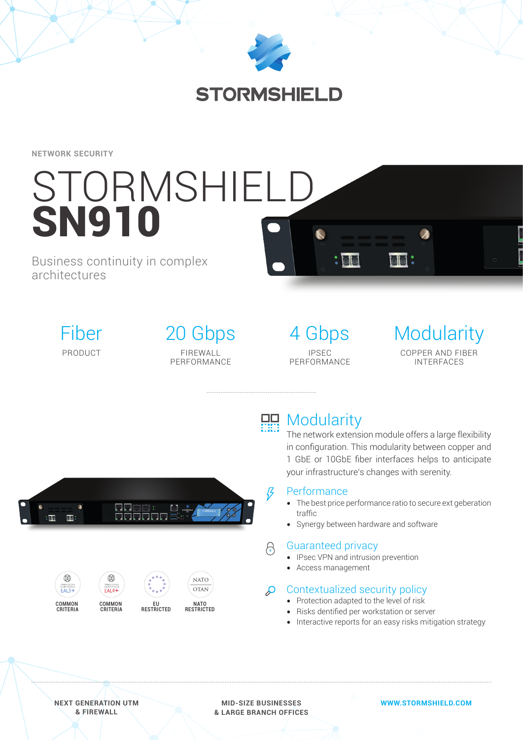

# **STORMSHIELD**

**NETWORK SECURITY**

# STORMSHIELD SN910

# Business continuity in complex architectures



# 20 Gbps FIREWALL PERFORMANCE

4 Gbps IPSEC PERFORMANCE

 $:$ 

# **Modularity** COPPER AND FIBER INTERFACES

# **HH** Modularity

The network extension module offers a large flexibility in configuration. This modularity between copper and 1 GbE or 10GbE fiber interfaces helps to anticipate your infrastructure's changes with serenity.

 $\overline{\circ}\overline{\circ}$  :



## **Performance**

- The best price performance ratio to secure ext geberation traffic
- Synergy between hardware and software

## Guaranteed privacy

- IPsec VPN and intrusion prevention
- Access management

# $\Omega$  Contextualized security policy

- Protection adapted to the level of risk
- Risks dentified per workstation or server
- Interactive reports for an easy risks mitigation strategy

**NEXT GENERATION UTM & FIREWALL**

**MID-SIZE BUSINESSES & LARGE BRANCH OFFICES** **WWW.STORMSHIELD.COM**